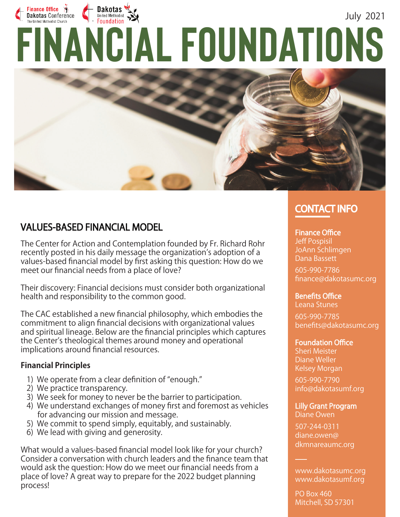# Finance Office  $\ddot{\theta}$ Dakotas July 2021 The United Methods: Conference<br>
FINANCIAL FOUNDATIONS **Dakotas Conference**



### **VALUES-BASED FINANCIAL MODEL**

The Center for Action and Contemplation founded by Fr. Richard Rohr recently posted in his daily message the organization's adoption of a values-based financial model by first asking this question: How do we meet our financial needs from a place of love?

Their discovery: Financial decisions must consider both organizational health and responsibility to the common good.

The CAC established a new financial philosophy, which embodies the commitment to align financial decisions with organizational values and spiritual lineage. Below are the financial principles which captures the Center's theological themes around money and operational implications around financial resources.

### **Financial Principles**

- 1) We operate from a clear definition of "enough."
- 2) We practice transparency.
- 3) We seek for money to never be the barrier to participation.
- 4) We understand exchanges of money first and foremost as vehicles for advancing our mission and message.
- 5) We commit to spend simply, equitably, and sustainably.
- 6) We lead with giving and generosity.

What would a values-based financial model look like for your church? Consider a conversation with church leaders and the finance team that would ask the question: How do we meet our financial needs from a place of love? A great way to prepare for the 2022 budget planning process!

# **CONTACT INFO**

#### Finance Office

Jeff Pospisil JoAnn Schlimgen Dana Bassett

605-990-7786 finance@dakotasumc.org

**Benefits Office** Leana Stunes

605-990-7785 benefits@dakotasumc.org

#### **Foundation Office**

Sheri Meister Diane Weller Kelsey Morgan

605-990-7790 info@dakotasumf.org

Lilly Grant Program Diane Owen

507-244-0311 diane.owen@ dkmnareaumc.org

www.dakotasumc.org www.dakotasumf.org

PO Box 460 Mitchell, SD 57301